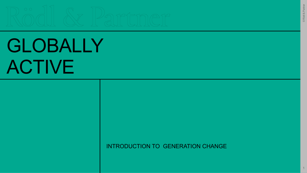

# **GLOBALLY** ACTIVE

INTRODUCTION TO GENERATION CHANGE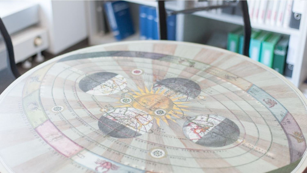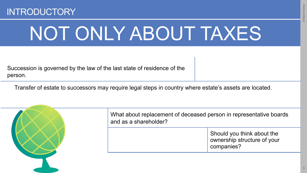#### **INTRODUCTORY**

# NOT ONLY ABOUT TAXES

Succession is governed by the law of the last state of residence of the person.

Transfer of estate to successors may require legal steps in country where estate's assets are located.

| and the state of the state of the state of the state of the state of the state of the state of the state of the                                                                                                                |                                                                                                                                                                  | المنابع المتوارث المسترد<br><u> La Carlo de la c</u>    |  |
|--------------------------------------------------------------------------------------------------------------------------------------------------------------------------------------------------------------------------------|------------------------------------------------------------------------------------------------------------------------------------------------------------------|---------------------------------------------------------|--|
| and the second control of the second second second second second second second second second second second second second second second second second second second second second second second second second second second sec | <u>a da ya shekara ta 1989, a shekara ta 1989, a shekara ta 1989, a shekara ta 1989, a shekara ta 1989, a shekara</u><br><b>NEW PRIE IN IT IS A PRIME DIE ST</b> | a masa sa sanggunia<br>وحواجا واصبحا وسأمولوهم<br>_____ |  |

| What about replacement of deceased person in representative boards<br>and as a shareholder? |                                                                         |  |  |
|---------------------------------------------------------------------------------------------|-------------------------------------------------------------------------|--|--|
|                                                                                             | Should you think about the<br>ownership structure of your<br>companies? |  |  |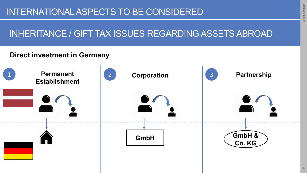# INHERITANCE / GIFT TAX ISSUES REGARDING ASSETS ABROAD

#### **Direct investment in Germany**

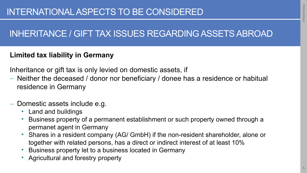# INHERITANCE / GIFT TAX ISSUES REGARDING ASSETS ABROAD

#### **Limited tax liability in Germany**

Inheritance or gift tax is only levied on domestic assets, if

- Neither the deceased / donor nor beneficiary / donee has a residence or habitual residence in Germany
- Domestic assets include e.g.
	- Land and buildings
	- Business property of a permanent establishment or such property owned through a permanet agent in Germany
	- Shares in a resident company (AG/ GmbH) if the non-resident shareholder, alone or together with related persons, has a direct or indirect interest of at least 10%
	- Business property let to a business located in Germany
	- Agricultural and forestry property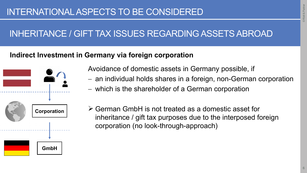# INHERITANCE / GIFT TAX ISSUES REGARDING ASSETS ABROAD

#### **Indirect Investment in Germany via foreign corporation**



Avoidance of domestic assets in Germany possible, if

- an individual holds shares in a foreign, non-German corporation
- which is the shareholder of a German corporation
- German GmbH is not treated as a domestic asset for inheritance / gift tax purposes due to the interposed foreign corporation (no look-through-approach)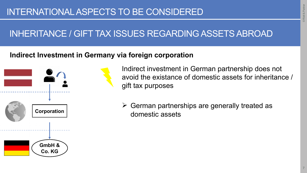# INHERITANCE / GIFT TAX ISSUES REGARDING ASSETS ABROAD

#### **Indirect Investment in Germany via foreign corporation**



Indirect investment in German partnership does not avoid the existance of domestic assets for inheritance / gift tax purposes

 $\triangleright$  German partnerships are generally treated as **Corporation Corporation**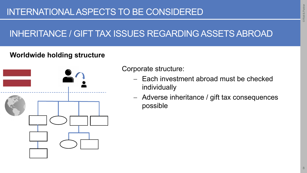# INHERITANCE / GIFT TAX ISSUES REGARDING ASSETS ABROAD

#### **Worldwide holding structure**



Corporate structure:

- Each investment abroad must be checked individually
- Adverse inheritance / gift tax consequences possible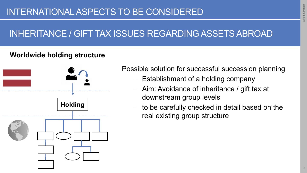# INHERITANCE / GIFT TAX ISSUES REGARDING ASSETS ABROAD

#### **Worldwide holding structure**



Possible solution for successful succession planning

- Establishment of a holding company
- Aim: Avoidance of inheritance / gift tax at downstream group levels
- to be carefully checked in detail based on the real existing group structure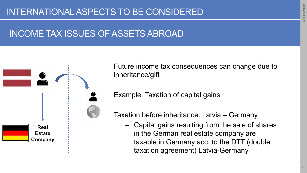# INCOME TAX ISSUES OF ASSETS ABROAD



Future income tax consequences can change due to inheritance/gift

Example: Taxation of capital gains

Taxation before inheritance: Latvia – Germany

- Capital gains resulting from the sale of shares in the German real estate company are taxable in Germany acc. to the DTT (double taxation agreement) Latvia-Germany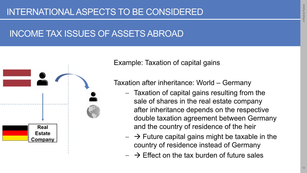# INCOME TAX ISSUES OF ASSETS ABROAD



Example: Taxation of capital gains

Taxation after inheritance: World – Germany

- Taxation of capital gains resulting from the sale of shares in the real estate company after inheritance depends on the respective double taxation agreement between Germany and the country of residence of the heir
- $\rightarrow$  Future capital gains might be taxable in the country of residence instead of Germany
- $\rightarrow$  Effect on the tax burden of future sales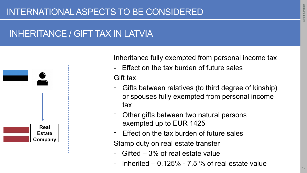## INHERITANCE / GIFT TAX IN LATVIA



Inheritance fully exempted from personal income tax

- Effect on the tax burden of future sales Gift tax
- Gifts between relatives (to third degree of kinship) or spouses fully exempted from personal income tax
- Other gifts between two natural persons exempted up to EUR 1425
- Effect on the tax burden of future sales Stamp duty on real estate transfer
- Gifted  $-3\%$  of real estate value
- Inherited  $0,125\%$  7,5 % of real estate value